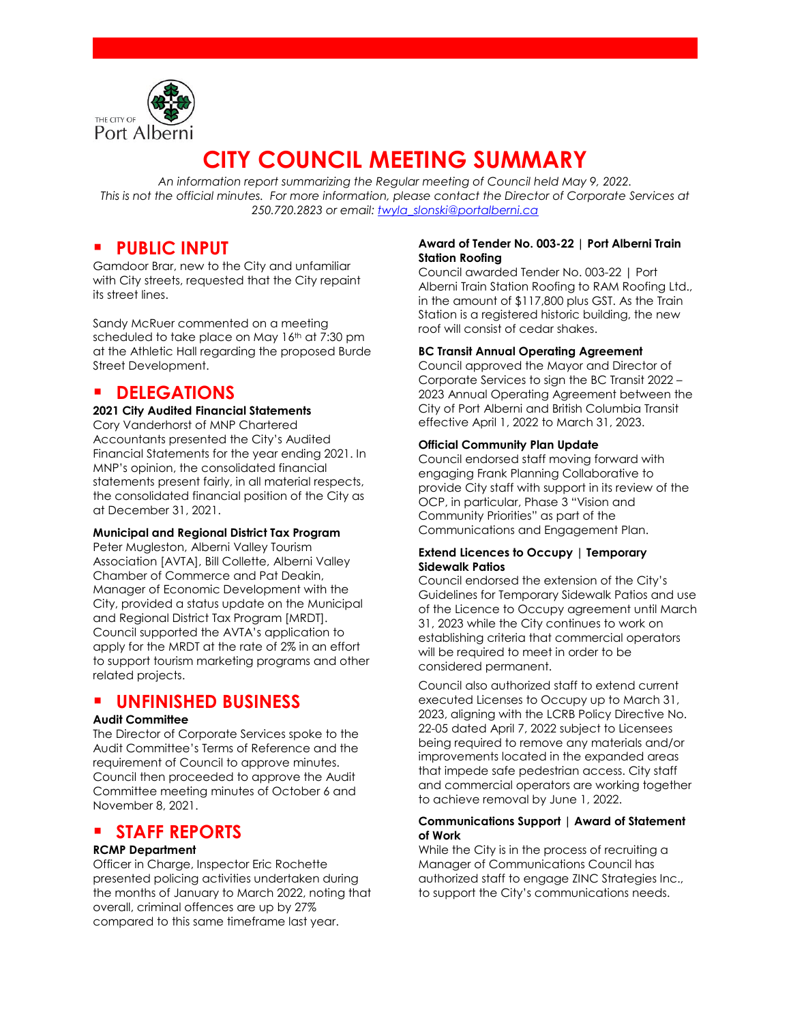

# **CITY COUNCIL MEETING SUMMARY**

*An information report summarizing the Regular meeting of Council held May 9, 2022. This is not the official minutes. For more information, please contact the Director of Corporate Services at 250.720.2823 or email: [twyla\\_slonski@portalberni.ca](mailto:twyla_slonski@portalberni.ca)*

### **PUBLIC INPUT**

Gamdoor Brar, new to the City and unfamiliar with City streets, requested that the City repaint its street lines.

Sandy McRuer commented on a meeting scheduled to take place on May 16<sup>th</sup> at 7:30 pm at the Athletic Hall regarding the proposed Burde Street Development.

### **DELEGATIONS**

#### **2021 City Audited Financial Statements**

Cory Vanderhorst of MNP Chartered Accountants presented the City's Audited Financial Statements for the year ending 2021. In MNP's opinion, the consolidated financial statements present fairly, in all material respects, the consolidated financial position of the City as at December 31, 2021.

#### **Municipal and Regional District Tax Program**

Peter Mugleston, Alberni Valley Tourism Association [AVTA], Bill Collette, Alberni Valley Chamber of Commerce and Pat Deakin, Manager of Economic Development with the City, provided a status update on the Municipal and Regional District Tax Program [MRDT]. Council supported the AVTA's application to apply for the MRDT at the rate of 2% in an effort to support tourism marketing programs and other related projects.

### **UNFINISHED BUSINESS**

#### **Audit Committee**

The Director of Corporate Services spoke to the Audit Committee's Terms of Reference and the requirement of Council to approve minutes. Council then proceeded to approve the Audit Committee meeting minutes of October 6 and November 8, 2021.

### **STAFF REPORTS**

#### **RCMP Department**

Officer in Charge, Inspector Eric Rochette presented policing activities undertaken during the months of January to March 2022, noting that overall, criminal offences are up by 27% compared to this same timeframe last year.

#### **Award of Tender No. 003-22 | Port Alberni Train Station Roofing**

Council awarded Tender No. 003-22 | Port Alberni Train Station Roofing to RAM Roofing Ltd., in the amount of \$117,800 plus GST. As the Train Station is a registered historic building, the new roof will consist of cedar shakes.

#### **BC Transit Annual Operating Agreement**

Council approved the Mayor and Director of Corporate Services to sign the BC Transit 2022 – 2023 Annual Operating Agreement between the City of Port Alberni and British Columbia Transit effective April 1, 2022 to March 31, 2023.

#### **Official Community Plan Update**

Council endorsed staff moving forward with engaging Frank Planning Collaborative to provide City staff with support in its review of the OCP, in particular, Phase 3 "Vision and Community Priorities" as part of the Communications and Engagement Plan.

#### **Extend Licences to Occupy | Temporary Sidewalk Patios**

Council endorsed the extension of the City's Guidelines for Temporary Sidewalk Patios and use of the Licence to Occupy agreement until March 31, 2023 while the City continues to work on establishing criteria that commercial operators will be required to meet in order to be considered permanent.

Council also authorized staff to extend current executed Licenses to Occupy up to March 31, 2023, aligning with the LCRB Policy Directive No. 22-05 dated April 7, 2022 subject to Licensees being required to remove any materials and/or improvements located in the expanded areas that impede safe pedestrian access. City staff and commercial operators are working together to achieve removal by June 1, 2022.

#### **Communications Support | Award of Statement of Work**

While the City is in the process of recruiting a Manager of Communications Council has authorized staff to engage ZINC Strategies Inc., to support the City's communications needs.